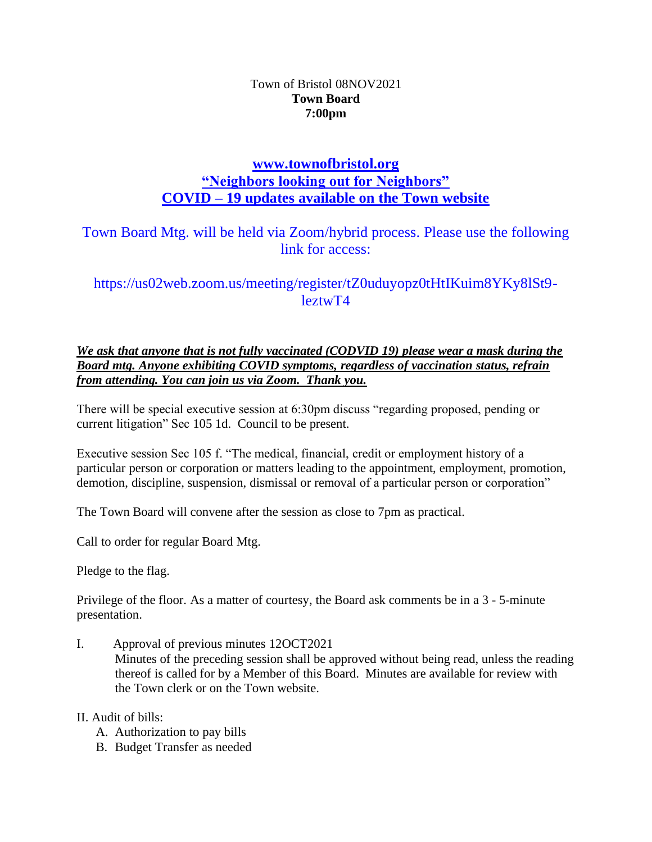## Town of Bristol 08NOV2021 **Town Board 7:00pm**

## **[www.townofbristol.org](http://www.townofbristol.org/) "Neighbors looking out for Neighbors" COVID – 19 updates available on the Town website**

Town Board Mtg. will be held via Zoom/hybrid process. Please use the following link for access:

https://us02web.zoom.us/meeting/register/tZ0uduyopz0tHtIKuim8YKy8lSt9 leztwT4

*We ask that anyone that is not fully vaccinated (CODVID 19) please wear a mask during the Board mtg. Anyone exhibiting COVID symptoms, regardless of vaccination status, refrain from attending. You can join us via Zoom. Thank you.*

There will be special executive session at 6:30pm discuss "regarding proposed, pending or current litigation" Sec 105 1d. Council to be present.

Executive session Sec 105 f. "The medical, financial, credit or employment history of a particular person or corporation or matters leading to the appointment, employment, promotion, demotion, discipline, suspension, dismissal or removal of a particular person or corporation"

The Town Board will convene after the session as close to 7pm as practical.

Call to order for regular Board Mtg.

Pledge to the flag.

Privilege of the floor. As a matter of courtesy, the Board ask comments be in a 3 - 5-minute presentation.

I. Approval of previous minutes 12OCT2021

Minutes of the preceding session shall be approved without being read, unless the reading thereof is called for by a Member of this Board. Minutes are available for review with the Town clerk or on the Town website.

II. Audit of bills:

- A. Authorization to pay bills
- B. Budget Transfer as needed